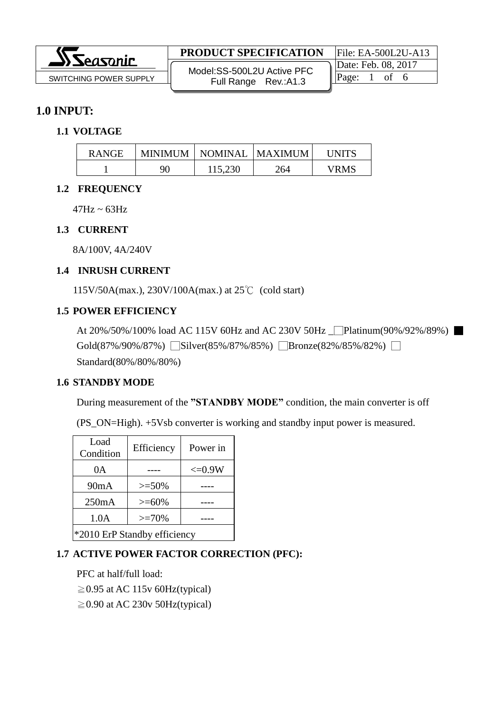|                                 | <b>PRODUCT SPECIFICATION</b> | File: $EA$ -500L2U-A13 |  |
|---------------------------------|------------------------------|------------------------|--|
| $\Delta$ <i><b>Seasonic</b></i> | Model: SS-500L2U Active PFC  | Date: Feb. 08, 2017    |  |
| SWITCHING POWER SUPPLY          | Full Range Rev.: A1.3        |                        |  |
|                                 |                              |                        |  |

## **1.0 INPUT:**

#### **1.1 VOLTAGE**

| <b>RANGE</b> | <b>MINIMUM</b> | NOMINAL   MAXIMUM |     | UNITS |
|--------------|----------------|-------------------|-----|-------|
|              | 90             | 115,230           | 264 | VRMS  |

#### **1.2 FREQUENCY**

 $47Hz \sim 63Hz$ 

#### **1.3 CURRENT**

8A/100V, 4A/240V

#### **1.4 INRUSH CURRENT**

115V/50A(max.), 230V/100A(max.) at 25℃ (cold start)

#### **1.5 POWER EFFICIENCY**

```
At 20%/50%/100% load AC 115V 60Hz and AC 230V 50Hz <u>Platinum(90%/92%/89%</u>)
Gold(87%/90%/87%) Silver(85%/87%/85%) Bronze(82%/85%/82%) □
Standard(80%/80%/80%)
```
#### **1.6 STANDBY MODE**

During measurement of the **"STANDBY MODE"** condition, the main converter is off

(PS\_ON=High). +5Vsb converter is working and standby input power is measured.

| Load<br>Condition            | Efficiency | Power in    |  |  |
|------------------------------|------------|-------------|--|--|
| 0A                           |            | $\leq 0.9W$ |  |  |
| 90mA                         | $>=$ 50%   |             |  |  |
| 250mA                        | $>= 60\%$  |             |  |  |
| 1.0A<br>$>=70%$              |            |             |  |  |
| *2010 ErP Standby efficiency |            |             |  |  |

## **1.7 ACTIVE POWER FACTOR CORRECTION (PFC):**

PFC at half/full load:  $\geq$  0.95 at AC 115v 60Hz(typical)  $\geq$  0.90 at AC 230v 50Hz(typical)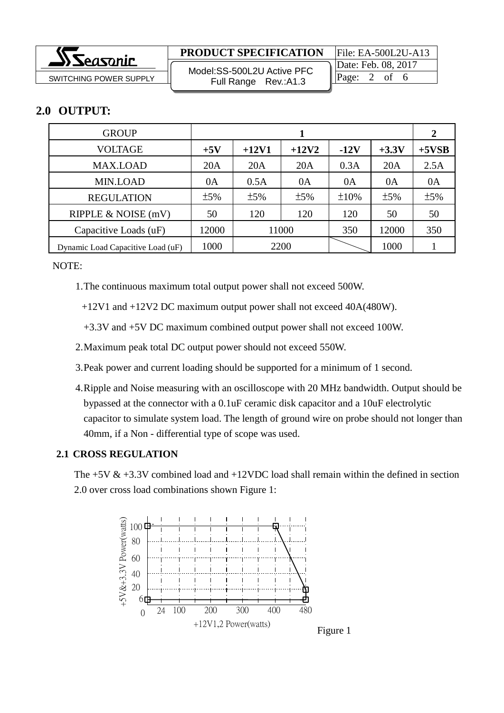|                        | <b>PRODUCT SPECIFICATION</b> | $File: EA-500L2U-A13$ |  |
|------------------------|------------------------------|-----------------------|--|
| $\Delta$ ) Seasonic    | Model: SS-500L2U Active PFC  | Date: Feb. 08, 2017   |  |
| SWITCHING POWER SUPPLY | Full Range Rev.: A1.3        | Page:<br>ΩŤ           |  |
|                        |                              |                       |  |

# **2.0 OUTPUT:**

| <b>GROUP</b>                      |       |         |         | 2      |         |         |
|-----------------------------------|-------|---------|---------|--------|---------|---------|
| <b>VOLTAGE</b>                    | $+5V$ | $+12V1$ | $+12V2$ | $-12V$ | $+3.3V$ | $+5VSB$ |
| <b>MAX.LOAD</b>                   | 20A   | 20A     | 20A     | 0.3A   | 20A     | 2.5A    |
| <b>MIN.LOAD</b>                   | 0A    | 0.5A    | 0A      | 0A     | 0A      | 0A      |
| <b>REGULATION</b>                 | ±5%   | ±5%     | ±5%     | ±10%   | ±5%     | ±5%     |
| RIPPLE & NOISE (mV)               | 50    | 120     | 120     | 120    | 50      | 50      |
| Capacitive Loads (uF)             | 12000 |         | 11000   | 350    | 12000   | 350     |
| Dynamic Load Capacitive Load (uF) | 1000  |         | 2200    |        | 1000    |         |

NOTE:

1.The continuous maximum total output power shall not exceed 500W.

+12V1 and +12V2 DC maximum output power shall not exceed 40A(480W).

+3.3V and +5V DC maximum combined output power shall not exceed 100W.

- 2.Maximum peak total DC output power should not exceed 550W.
- 3.Peak power and current loading should be supported for a minimum of 1 second.
- 4.Ripple and Noise measuring with an oscilloscope with 20 MHz bandwidth. Output should be bypassed at the connector with a 0.1uF ceramic disk capacitor and a 10uF electrolytic capacitor to simulate system load. The length of ground wire on probe should not longer than 40mm, if a Non - differential type of scope was used.

#### **2.1 CROSS REGULATION**

The  $+5V & 3.3V$  combined load and  $+12VDC$  load shall remain within the defined in section 2.0 over cross load combinations shown Figure 1:

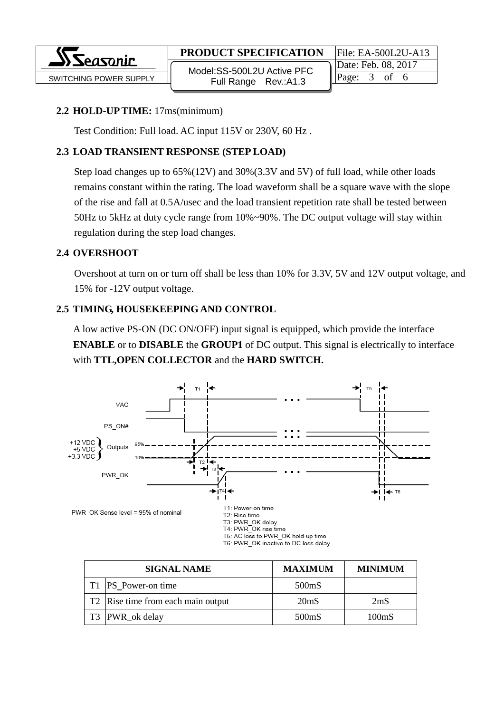

SWITCHING POWER SUPPLY  $\begin{array}{ccc} \parallel & \text{mod.532} \\ \text{Full Range} & \text{Pay-413} \end{array}$  Page: 3 of 6 Model:SS-500L2U Active PFC Full Range Rev.:A1.3

Date: Feb. 08, 2017

#### **2.2 HOLD-UP TIME:** 17ms(minimum)

Test Condition: Full load. AC input 115V or 230V, 60 Hz .

## **2.3 LOAD TRANSIENT RESPONSE (STEP LOAD)**

Step load changes up to 65%(12V) and 30%(3.3V and 5V) of full load, while other loads remains constant within the rating. The load waveform shall be a square wave with the slope of the rise and fall at 0.5A/usec and the load transient repetition rate shall be tested between 50Hz to 5kHz at duty cycle range from 10%~90%. The DC output voltage will stay within regulation during the step load changes.

### **2.4 OVERSHOOT**

Overshoot at turn on or turn off shall be less than 10% for 3.3V, 5V and 12V output voltage, and 15% for -12V output voltage.

## **2.5 TIMING, HOUSEKEEPING AND CONTROL**

A low active PS-ON (DC ON/OFF) input signal is equipped, which provide the interface **ENABLE** or to **DISABLE** the **GROUP1** of DC output. This signal is electrically to interface with **TTL,OPEN COLLECTOR** and the **HARD SWITCH.**



| <b>SIGNAL NAME</b>                             | <b>MAXIMUM</b>    | <b>MINIMUM</b>    |
|------------------------------------------------|-------------------|-------------------|
| T1 PS_Power-on time                            | 500mS             |                   |
| T <sub>2</sub> Rise time from each main output | 20 <sub>m</sub> S | 2mS               |
| T3 PWR_ok delay                                | 500mS             | 100 <sub>ms</sub> |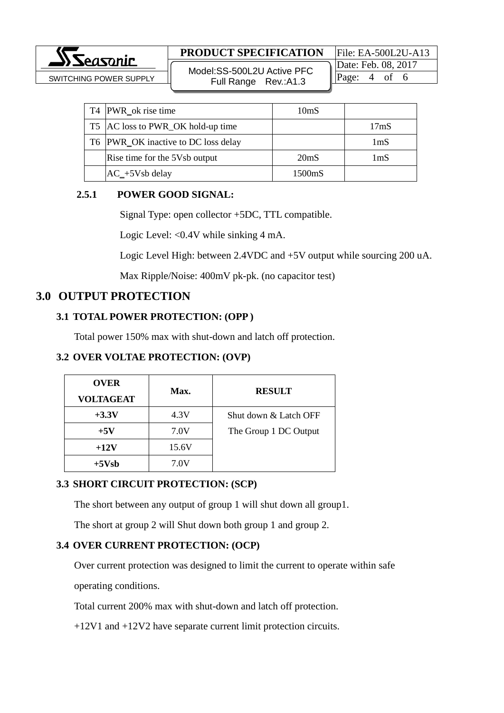.<br>Geographic

## **PRODUCT SPECIFICATION** File: EA-500L2U-A13

SWITCHING POWER SUPPLY  $\begin{array}{ccc} \parallel & \text{woucl.}\ \text{Soulson} & \text{Eull} & \text{Puler} & \text{Pave:} & \end{array}$   $\begin{array}{ccc} \parallel \text{Page:} & 4 & \text{of} & 6 \end{array}$ Model:SS-500L2U Active PFC Full Range Rev.:A1.3

Date: Feb. 08, 2017

| T4 PWR_ok rise time                 | 10 <sub>m</sub> S |                  |
|-------------------------------------|-------------------|------------------|
| T5 AC loss to PWR_OK hold-up time   |                   | 17 <sub>ms</sub> |
| T6 PWR_OK inactive to DC loss delay |                   | 1mS              |
| Rise time for the 5Vsb output       | 20 <sub>ms</sub>  | 1mS              |
| $AC_{+}$ 5Vsb delay                 | 1500mS            |                  |

### **2.5.1 POWER GOOD SIGNAL:**

Signal Type: open collector +5DC, TTL compatible.

Logic Level: <0.4V while sinking 4 mA.

Logic Level High: between 2.4VDC and +5V output while sourcing 200 uA.

Max Ripple/Noise: 400mV pk-pk. (no capacitor test)

## **3.0 OUTPUT PROTECTION**

## **3.1 TOTAL POWER PROTECTION: (OPP )**

Total power 150% max with shut-down and latch off protection.

## **3.2 OVER VOLTAE PROTECTION: (OVP)**

| <b>OVER</b><br><b>VOLTAGEAT</b> | Max.  | <b>RESULT</b>         |
|---------------------------------|-------|-----------------------|
| $+3.3V$                         | 4.3V  | Shut down & Latch OFF |
| $+5V$                           | 7.0V  | The Group 1 DC Output |
| $+12V$                          | 15.6V |                       |
| $+5Vsb$                         | 7.0V  |                       |

#### **3.3 SHORT CIRCUIT PROTECTION: (SCP)**

The short between any output of group 1 will shut down all group1.

The short at group 2 will Shut down both group 1 and group 2.

#### **3.4 OVER CURRENT PROTECTION: (OCP)**

Over current protection was designed to limit the current to operate within safe operating conditions.

Total current 200% max with shut-down and latch off protection.

+12V1 and +12V2 have separate current limit protection circuits.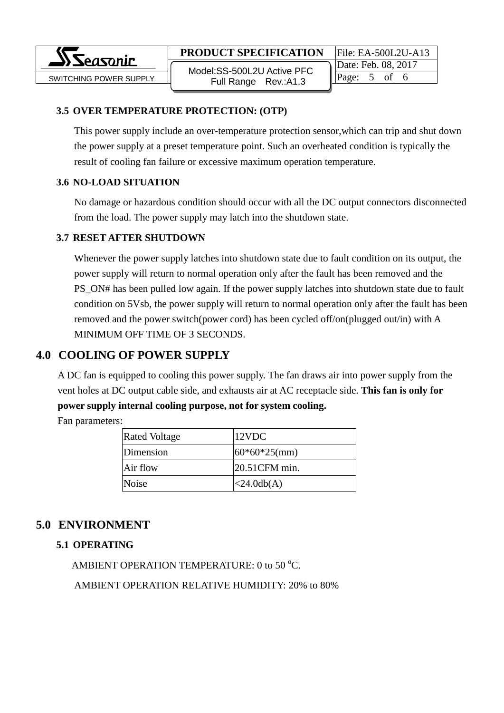**PRODUCT SPECIFICATION** File: EA-500L2U-A13

 SWITCHING POWER SUPPLY Page: 5 of 6 Model:SS-500L2U Active PFC Full Range Rev.:A1.3

Date: Feb. 08, 2017

### **3.5 OVER TEMPERATURE PROTECTION: (OTP)**

This power supply include an over-temperature protection sensor,which can trip and shut down the power supply at a preset temperature point. Such an overheated condition is typically the result of cooling fan failure or excessive maximum operation temperature.

### **3.6 NO-LOAD SITUATION**

No damage or hazardous condition should occur with all the DC output connectors disconnected from the load. The power supply may latch into the shutdown state.

### **3.7 RESET AFTER SHUTDOWN**

Whenever the power supply latches into shutdown state due to fault condition on its output, the power supply will return to normal operation only after the fault has been removed and the PS\_ON# has been pulled low again. If the power supply latches into shutdown state due to fault condition on 5Vsb, the power supply will return to normal operation only after the fault has been removed and the power switch(power cord) has been cycled off/on(plugged out/in) with A MINIMUM OFF TIME OF 3 SECONDS.

# **4.0 COOLING OF POWER SUPPLY**

A DC fan is equipped to cooling this power supply. The fan draws air into power supply from the vent holes at DC output cable side, and exhausts air at AC receptacle side. **This fan is only for power supply internal cooling purpose, not for system cooling.**

Fan parameters:

| <b>Rated Voltage</b> | 12VDC               |
|----------------------|---------------------|
| Dimension            | $60*60*25$ (mm)     |
| Air flow             | 20.51CFM min.       |
| Noise                | $\langle 24.0db(A)$ |

# **5.0 ENVIRONMENT**

## **5.1 OPERATING**

AMBIENT OPERATION TEMPERATURE: 0 to 50  $^{\circ}$ C.

AMBIENT OPERATION RELATIVE HUMIDITY: 20% to 80%